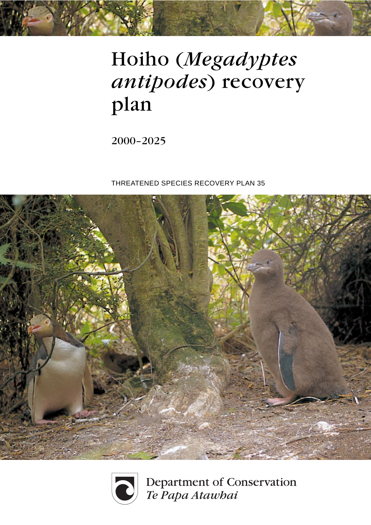# Hoiho (*Megadyptes antipodes*) recovery plan

2000–2025

THREATENED SPECIES RECOVERY PLAN 35





Department of Conservation Te Papa Atawhai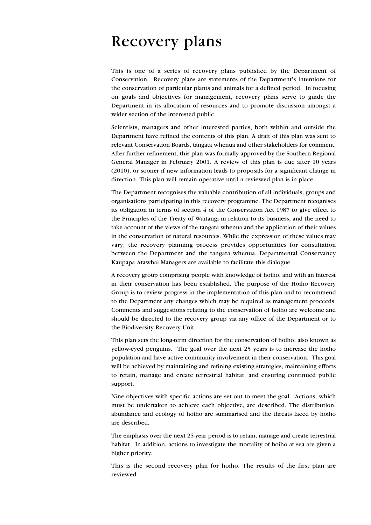## Recovery plans

This is one of a series of recovery plans published by the Department of Conservation. Recovery plans are statements of the Department's intentions for the conservation of particular plants and animals for a defined period. In focusing on goals and objectives for management, recovery plans serve to guide the Department in its allocation of resources and to promote discussion amongst a wider section of the interested public.

Scientists, managers and other interested parties, both within and outside the Department have refined the contents of this plan. A draft of this plan was sent to relevant Conservation Boards, tangata whenua and other stakeholders for comment. After further refinement, this plan was formally approved by the Southern Regional General Manager in February 2001. A review of this plan is due after 10 years (2010), or sooner if new information leads to proposals for a significant change in direction. This plan will remain operative until a reviewed plan is in place.

The Department recognises the valuable contribution of all individuals, groups and organisations participating in this recovery programme. The Department recognises its obligation in terms of section 4 of the Conservation Act 1987 to give effect to the Principles of the Treaty of Waitangi in relation to its business, and the need to take account of the views of the tangata whenua and the application of their values in the conservation of natural resources. While the expression of these values may vary, the recovery planning process provides opportunities for consultation between the Department and the tangata whenua. Departmental Conservancy Kaupapa Atawhai Managers are available to facilitate this dialogue.

A recovery group comprising people with knowledge of hoiho, and with an interest in their conservation has been established. The purpose of the Hoiho Recovery Group is to review progress in the implementation of this plan and to recommend to the Department any changes which may be required as management proceeds. Comments and suggestions relating to the conservation of hoiho are welcome and should be directed to the recovery group via any office of the Department or to the Biodiversity Recovery Unit.

This plan sets the long-term direction for the conservation of hoiho, also known as yellow-eyed penguins. The goal over the next 25 years is to increase the hoiho population and have active community involvement in their conservation. This goal will be achieved by maintaining and refining existing strategies, maintaining efforts to retain, manage and create terrestrial habitat, and ensuring continued public support.

Nine objectives with specific actions are set out to meet the goal. Actions, which must be undertaken to achieve each objective, are described. The distribution, abundance and ecology of hoiho are summarised and the threats faced by hoiho are described.

The emphasis over the next 25-year period is to retain, manage and create terrestrial habitat. In addition, actions to investigate the mortality of hoiho at sea are given a higher priority.

This is the second recovery plan for hoiho. The results of the first plan are reviewed.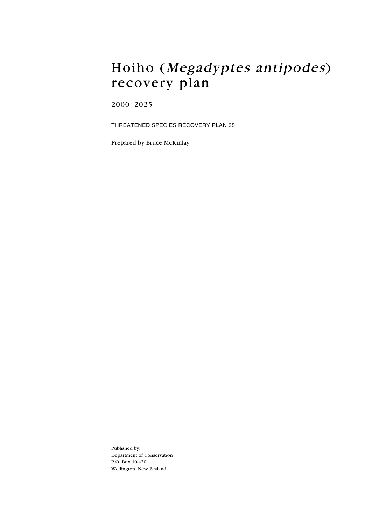### Hoiho (Megadyptes antipodes) recovery plan

2000–2025

THREATENED SPECIES RECOVERY PLAN 35

Prepared by Bruce McKinlay

Published by: Department of Conservation P.O. Box 10-420 Wellington, New Zealand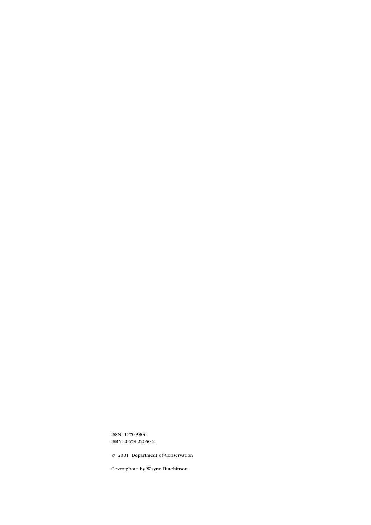ISSN: 1170-3806 ISBN: 0-478-22050-2

© 2001 Department of Conservation

Cover photo by Wayne Hutchinson.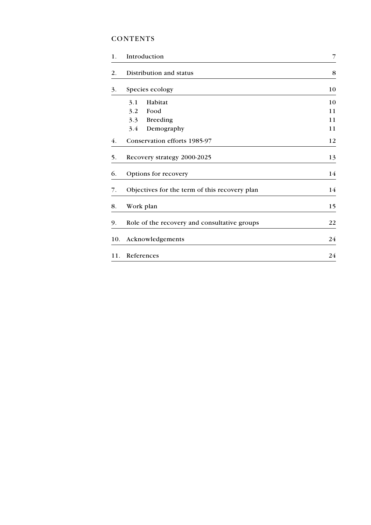#### **CONTENTS**

| 1.  | Introduction                                  | 7  |
|-----|-----------------------------------------------|----|
| 2.  | Distribution and status                       | 8  |
| 3.  | Species ecology                               | 10 |
|     | 3.1<br>Habitat                                | 10 |
|     | Food<br>3.2                                   | 11 |
|     | <b>Breeding</b><br>3.3                        | 11 |
|     | 3.4<br>Demography                             | 11 |
| 4.  | Conservation efforts 1985-97                  | 12 |
| 5.  | Recovery strategy 2000-2025                   | 13 |
| 6.  | Options for recovery                          | 14 |
| 7.  | Objectives for the term of this recovery plan | 14 |
| 8.  | Work plan                                     | 15 |
| 9.  | Role of the recovery and consultative groups  | 22 |
| 10. | Acknowledgements                              | 24 |
| 11. | References                                    | 24 |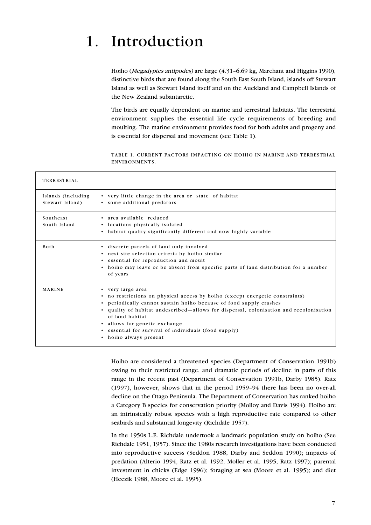## 1. Introduction

Hoiho (Megadyptes antipodes) are large (4.31–6.69 kg, Marchant and Higgins 1990), distinctive birds that are found along the South East South Island, islands off Stewart Island as well as Stewart Island itself and on the Auckland and Campbell Islands of the New Zealand subantarctic.

The birds are equally dependent on marine and terrestrial habitats. The terrestrial environment supplies the essential life cycle requirements of breeding and moulting. The marine environment provides food for both adults and progeny and is essential for dispersal and movement (see Table 1).

TABLE 1. CURRENT FACTORS IMPACTING ON HOIHO IN MARINE AND TERRESTRIAL ENVIRONMENTS.

| <b>TERRESTRIAL</b>                    |                                                                                                                                                                                                                                                                                                                                                                                                                   |  |  |
|---------------------------------------|-------------------------------------------------------------------------------------------------------------------------------------------------------------------------------------------------------------------------------------------------------------------------------------------------------------------------------------------------------------------------------------------------------------------|--|--|
| Islands (including<br>Stewart Island) | • very little change in the area or state of habitat<br>• some additional predators                                                                                                                                                                                                                                                                                                                               |  |  |
| Southeast<br>South Island             | • area available reduced<br>• locations physically isolated<br>• habitat quality significantly different and now highly variable                                                                                                                                                                                                                                                                                  |  |  |
| <b>Both</b>                           | • discrete parcels of land only involved<br>• nest site selection criteria by hoiho similar<br>• essential for reproduction and moult<br>• hoiho may leave or be absent from specific parts of land distribution for a number<br>of years                                                                                                                                                                         |  |  |
| <b>MARINE</b>                         | • very large area<br>• no restrictions on physical access by hoiho (except energetic constraints)<br>• periodically cannot sustain hoiho because of food supply crashes<br>• quality of habitat undescribed—allows for dispersal, colonisation and recolonisation<br>of land habitat<br>allows for genetic exchange<br>$\bullet$<br>• essential for survival of individuals (food supply)<br>hoiho always present |  |  |

Hoiho are considered a threatened species (Department of Conservation 1991b) owing to their restricted range, and dramatic periods of decline in parts of this range in the recent past (Department of Conservation 1991b, Darby 1985). Ratz (1997), however, shows that in the period 1959–94 there has been no over-all decline on the Otago Peninsula. The Department of Conservation has ranked hoiho a Category B species for conservation priority (Molloy and Davis 1994). Hoiho are an intrinsically robust species with a high reproductive rate compared to other seabirds and substantial longevity (Richdale 1957).

In the 1950s L.E. Richdale undertook a landmark population study on hoiho (See Richdale 1951, 1957). Since the 1980s research investigations have been conducted into reproductive success (Seddon 1988, Darby and Seddon 1990); impacts of predation (Alterio 1994, Ratz et al. 1992, Moller et al. 1995, Ratz 1997); parental investment in chicks (Edge 1996); foraging at sea (Moore et al. 1995); and diet (Heezik 1988, Moore et al. 1995).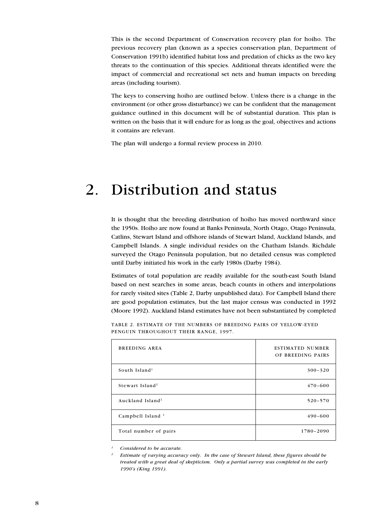This is the second Department of Conservation recovery plan for hoiho. The previous recovery plan (known as a species conservation plan, Department of Conservation 1991b) identified habitat loss and predation of chicks as the two key threats to the continuation of this species. Additional threats identified were the impact of commercial and recreational set nets and human impacts on breeding areas (including tourism).

The keys to conserving hoiho are outlined below. Unless there is a change in the environment (or other gross disturbance) we can be confident that the management guidance outlined in this document will be of substantial duration. This plan is written on the basis that it will endure for as long as the goal, objectives and actions it contains are relevant.

The plan will undergo a formal review process in 2010.

### 2. Distribution and status

It is thought that the breeding distribution of hoiho has moved northward since the 1950s. Hoiho are now found at Banks Peninsula, North Otago, Otago Peninsula, Catlins, Stewart Island and offshore islands of Stewart Island, Auckland Islands, and Campbell Islands. A single individual resides on the Chatham Islands. Richdale surveyed the Otago Peninsula population, but no detailed census was completed until Darby initiated his work in the early 1980s (Darby 1984).

Estimates of total population are readily available for the south-east South Island based on nest searches in some areas, beach counts in others and interpolations for rarely visited sites (Table 2, Darby unpublished data). For Campbell Island there are good population estimates, but the last major census was conducted in 1992 (Moore 1992). Auckland Island estimates have not been substantiated by completed

| BREEDING AREA                | <b>ESTIMATED NUMBER</b><br>OF BREEDING PAIRS |
|------------------------------|----------------------------------------------|
| South Island <sup>1</sup>    | $300 - 320$                                  |
| Stewart Island <sup>2</sup>  | $470 - 600$                                  |
| Auckland Island <sup>2</sup> | $520 - 570$                                  |
| Campbell Island <sup>1</sup> | $490 - 600$                                  |
| Total number of pairs        | 1780-2090                                    |

TABLE 2. ESTIMATE OF THE NUMBERS OF BREEDING PAIRS OF YELLOW-EYED PENGUIN THROUGHOUT THEIR RANGE, 1997.

*<sup>1</sup> Considered to be accurate.*

*<sup>2</sup> Estimate of varying accuracy only. In the case of Stewart Island, these figures should be treated with a great deal of skepticism. Only a partial survey was completed in the early 1990's (King 1991).*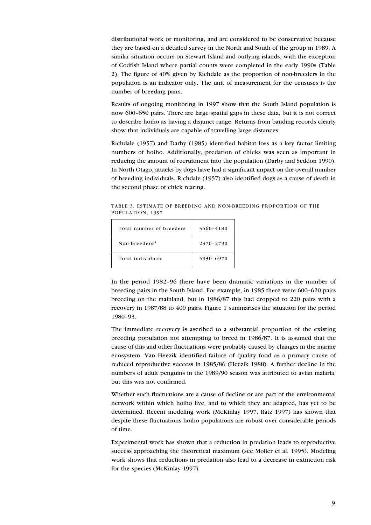distributional work or monitoring, and are considered to be conservative because they are based on a detailed survey in the North and South of the group in 1989. A similar situation occurs on Stewart Island and outlying islands, with the exception of Codfish Island where partial counts were completed in the early 1990s (Table 2). The figure of 40% given by Richdale as the proportion of non-breeders in the population is an indicator only. The unit of measurement for the censuses is the number of breeding pairs.

Results of ongoing monitoring in 1997 show that the South Island population is now 600–650 pairs. There are large spatial gaps in these data, but it is not correct to describe hoiho as having a disjunct range. Returns from banding records clearly show that individuals are capable of travelling large distances.

Richdale (1957) and Darby (1985) identified habitat loss as a key factor limiting numbers of hoiho. Additionally, predation of chicks was seen as important in reducing the amount of recruitment into the population (Darby and Seddon 1990). In North Otago, attacks by dogs have had a significant impact on the overall number of breeding individuals. Richdale (1957) also identified dogs as a cause of death in the second phase of chick rearing.

TABLE 3. ESTIMATE OF BREEDING AND NON-BREEDING PROPORTION OF THE POPULATION, 1997

| Total number of breeders  | 3560-4180 |
|---------------------------|-----------|
| Non-breeders <sup>1</sup> | 2370-2790 |
| Total individuals         | 5930-6970 |

In the period 1982–96 there have been dramatic variations in the number of breeding pairs in the South Island. For example, in 1985 there were 600–620 pairs breeding on the mainland, but in 1986/87 this had dropped to 220 pairs with a recovery in 1987/88 to 400 pairs. Figure 1 summarises the situation for the period 1980–93.

The immediate recovery is ascribed to a substantial proportion of the existing breeding population not attempting to breed in 1986/87. It is assumed that the cause of this and other fluctuations were probably caused by changes in the marine ecosystem. Van Heezik identified failure of quality food as a primary cause of reduced reproductive success in 1985/86 (Heezik 1988). A further decline in the numbers of adult penguins in the 1989/90 season was attributed to avian malaria, but this was not confirmed.

Whether such fluctuations are a cause of decline or are part of the environmental network within which hoiho live, and to which they are adapted, has yet to be determined. Recent modeling work (McKinlay 1997, Ratz 1997) has shown that despite these fluctuations hoiho populations are robust over considerable periods of time.

Experimental work has shown that a reduction in predation leads to reproductive success approaching the theoretical maximum (see Moller et al. 1995). Modeling work shows that reductions in predation also lead to a decrease in extinction risk for the species (McKinlay 1997).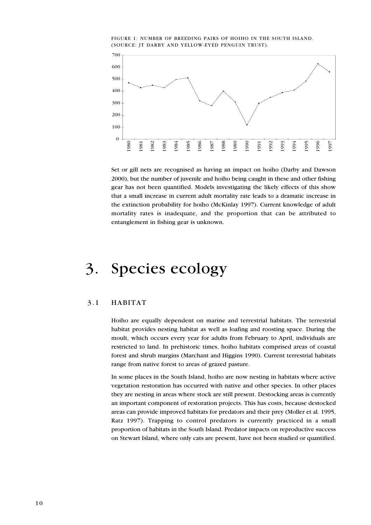



Set or gill nets are recognised as having an impact on hoiho (Darby and Dawson 2000), but the number of juvenile and hoiho being caught in these and other fishing gear has not been quantified. Models investigating the likely effects of this show that a small increase in current adult mortality rate leads to a dramatic increase in the extinction probability for hoiho (McKinlay 1997). Current knowledge of adult mortality rates is inadequate, and the proportion that can be attributed to entanglement in fishing gear is unknown.

## 3. Species ecology

#### 3.1 HABITAT

Hoiho are equally dependent on marine and terrestrial habitats. The terrestrial habitat provides nesting habitat as well as loafing and roosting space. During the moult, which occurs every year for adults from February to April, individuals are restricted to land. In prehistoric times, hoiho habitats comprised areas of coastal forest and shrub margins (Marchant and Higgins 1990). Current terrestrial habitats range from native forest to areas of grazed pasture.

In some places in the South Island, hoiho are now nesting in habitats where active vegetation restoration has occurred with native and other species. In other places they are nesting in areas where stock are still present. Destocking areas is currently an important component of restoration projects. This has costs, because destocked areas can provide improved habitats for predators and their prey (Moller et al. 1995, Ratz 1997). Trapping to control predators is currently practiced in a small proportion of habitats in the South Island. Predator impacts on reproductive success on Stewart Island, where only cats are present, have not been studied or quantified.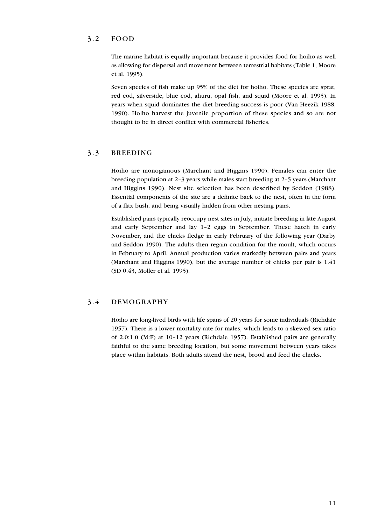#### 3.2 FOOD

The marine habitat is equally important because it provides food for hoiho as well as allowing for dispersal and movement between terrestrial habitats (Table 1, Moore et al. 1995).

Seven species of fish make up 95% of the diet for hoiho. These species are sprat, red cod, silverside, blue cod, ahuru, opal fish, and squid (Moore et al. 1995). In years when squid dominates the diet breeding success is poor (Van Heezik 1988, 1990). Hoiho harvest the juvenile proportion of these species and so are not thought to be in direct conflict with commercial fisheries.

#### 3.3 BREEDING

Hoiho are monogamous (Marchant and Higgins 1990). Females can enter the breeding population at 2–3 years while males start breeding at 2–5 years (Marchant and Higgins 1990). Nest site selection has been described by Seddon (1988). Essential components of the site are a definite back to the nest, often in the form of a flax bush, and being visually hidden from other nesting pairs.

Established pairs typically reoccupy nest sites in July, initiate breeding in late August and early September and lay 1–2 eggs in September. These hatch in early November, and the chicks fledge in early February of the following year (Darby and Seddon 1990). The adults then regain condition for the moult, which occurs in February to April. Annual production varies markedly between pairs and years (Marchant and Higgins 1990), but the average number of chicks per pair is 1.41 (SD 0.43, Moller et al. 1995).

#### 3.4 DEMOGRAPHY

Hoiho are long-lived birds with life spans of 20 years for some individuals (Richdale 1957). There is a lower mortality rate for males, which leads to a skewed sex ratio of 2.0:1.0 (M:F) at 10–12 years (Richdale 1957). Established pairs are generally faithful to the same breeding location, but some movement between years takes place within habitats. Both adults attend the nest, brood and feed the chicks.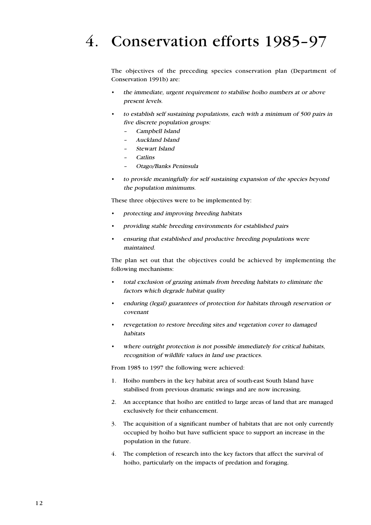## 4. Conservation efforts 1985–97

The objectives of the preceding species conservation plan (Department of Conservation 1991b) are:

- the immediate, urgent requirement to stabilise hoiho numbers at or above present levels.
- to establish self sustaining populations, each with a minimum of 500 pairs in five discrete population groups:
	- –Campbell Island
	- Auckland Island
	- Stewart Island
	- **Catlins**
	- Otago/Banks Peninsula
- to provide meaningfully for self sustaining expansion of the species beyond the population minimums.

These three objectives were to be implemented by:

- protecting and improving breeding habitats
- providing stable breeding environments for established pairs
- ensuring that established and productive breeding populations were maintained.

The plan set out that the objectives could be achieved by implementing the following mechanisms:

- total exclusion of grazing animals from breeding habitats to eliminate the factors which degrade habitat quality
- enduring (legal) guarantees of protection for habitats through reservation or covenant
- revegetation to restore breeding sites and vegetation cover to damaged habitats
- where outright protection is not possible immediately for critical habitats, recognition of wildlife values in land use practices.

From 1985 to 1997 the following were achieved:

- 1. Hoiho numbers in the key habitat area of south-east South Island have stabilised from previous dramatic swings and are now increasing.
- 2. An acceptance that hoiho are entitled to large areas of land that are managed exclusively for their enhancement.
- 3. The acquisition of a significant number of habitats that are not only currently occupied by hoiho but have sufficient space to support an increase in the population in the future.
- 4. The completion of research into the key factors that affect the survival of hoiho, particularly on the impacts of predation and foraging.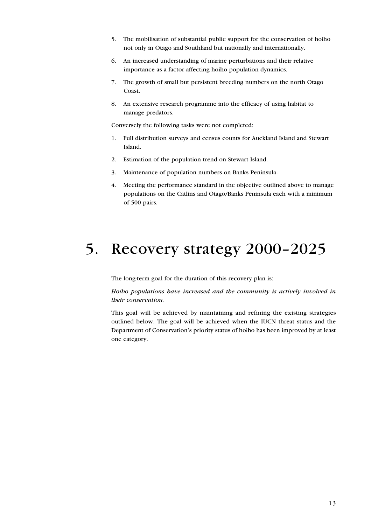- 5. The mobilisation of substantial public support for the conservation of hoiho not only in Otago and Southland but nationally and internationally.
- 6. An increased understanding of marine perturbations and their relative importance as a factor affecting hoiho population dynamics.
- 7. The growth of small but persistent breeding numbers on the north Otago Coast.
- 8. An extensive research programme into the efficacy of using habitat to manage predators.

Conversely the following tasks were not completed:

- 1. Full distribution surveys and census counts for Auckland Island and Stewart Island.
- 2. Estimation of the population trend on Stewart Island.
- 3. Maintenance of population numbers on Banks Peninsula.
- 4. Meeting the performance standard in the objective outlined above to manage populations on the Catlins and Otago/Banks Peninsula each with a minimum of 500 pairs.

## 5. Recovery strategy 2000–2025

The long-term goal for the duration of this recovery plan is:

*Hoiho populations have increased and the community is actively involved in their conservation.*

This goal will be achieved by maintaining and refining the existing strategies outlined below. The goal will be achieved when the IUCN threat status and the Department of Conservation's priority status of hoiho has been improved by at least one category.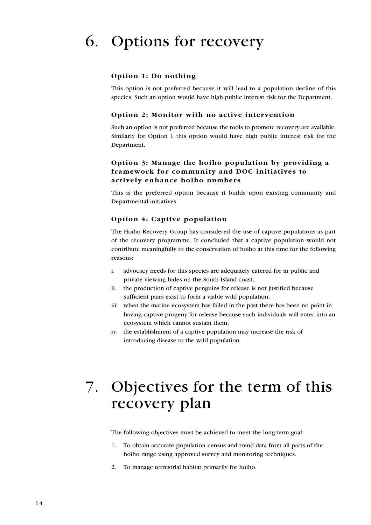## 6. Options for recovery

#### **Option 1: Do nothing**

This option is not preferred because it will lead to a population decline of this species. Such an option would have high public interest risk for the Department.

#### **Option 2: Monitor with no active intervention**

Such an option is not preferred because the tools to promote recovery are available. Similarly for Option 1 this option would have high public interest risk for the Department.

#### **Option 3: Manage the hoiho population by providing a framework for community and DOC initiatives to actively enhance hoiho numbers**

This is the preferred option because it builds upon existing community and Departmental initiatives.

#### **Option 4: Captive population**

The Hoiho Recovery Group has considered the use of captive populations as part of the recovery programme. It concluded that a captive population would not contribute meaningfully to the conservation of hoiho at this time for the following reasons:

- i. advocacy needs for this species are adequately catered for in public and private viewing hides on the South Island coast,
- ii. the production of captive penguins for release is not justified because sufficient pairs exist to form a viable wild population,
- iii. when the marine ecosystem has failed in the past there has been no point in having captive progeny for release because such individuals will enter into an ecosystem which cannot sustain them,
- iv. the establishment of a captive population may increase the risk of introducing disease to the wild population.

## 7. Objectives for the term of this recovery plan

The following objectives must be achieved to meet the long-term goal:

- 1. To obtain accurate population census and trend data from all parts of the hoiho range using approved survey and monitoring techniques.
- 2. To manage terrestrial habitat primarily for hoiho.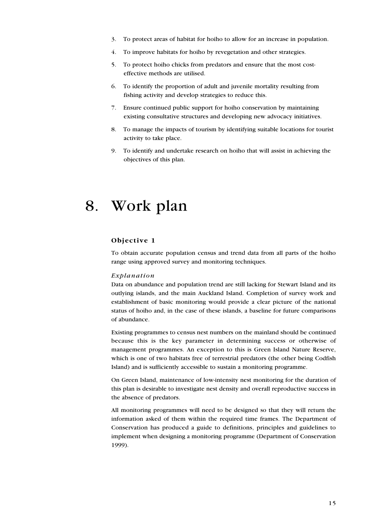- 3. To protect areas of habitat for hoiho to allow for an increase in population.
- 4. To improve habitats for hoiho by revegetation and other strategies.
- 5. To protect hoiho chicks from predators and ensure that the most costeffective methods are utilised.
- 6. To identify the proportion of adult and juvenile mortality resulting from fishing activity and develop strategies to reduce this.
- 7. Ensure continued public support for hoiho conservation by maintaining existing consultative structures and developing new advocacy initiatives.
- 8. To manage the impacts of tourism by identifying suitable locations for tourist activity to take place.
- 9. To identify and undertake research on hoiho that will assist in achieving the objectives of this plan.

## 8. Work plan

#### **Objective 1**

To obtain accurate population census and trend data from all parts of the hoiho range using approved survey and monitoring techniques.

#### *Explanation*

Data on abundance and population trend are still lacking for Stewart Island and its outlying islands, and the main Auckland Island. Completion of survey work and establishment of basic monitoring would provide a clear picture of the national status of hoiho and, in the case of these islands, a baseline for future comparisons of abundance.

Existing programmes to census nest numbers on the mainland should be continued because this is the key parameter in determining success or otherwise of management programmes. An exception to this is Green Island Nature Reserve, which is one of two habitats free of terrestrial predators (the other being Codfish Island) and is sufficiently accessible to sustain a monitoring programme.

On Green Island, maintenance of low-intensity nest monitoring for the duration of this plan is desirable to investigate nest density and overall reproductive success in the absence of predators.

All monitoring programmes will need to be designed so that they will return the information asked of them within the required time frames. The Department of Conservation has produced a guide to definitions, principles and guidelines to implement when designing a monitoring programme (Department of Conservation 1999).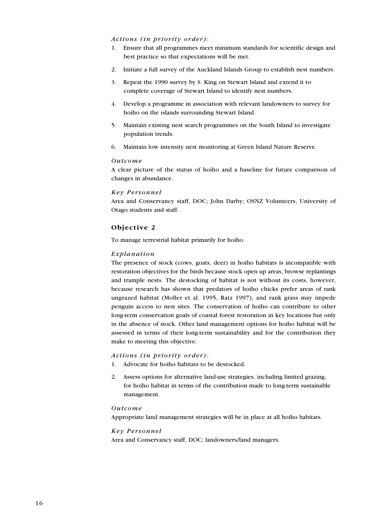#### *Actions (in priority order):*

- 1. Ensure that all programmes meet minimum standards for scientific design and best practice so that expectations will be met.
- 2. Initiate a full survey of the Auckland Islands Group to establish nest numbers.
- 3. Repeat the 1990 survey by S. King on Stewart Island and extend it to complete coverage of Stewart Island to identify nest numbers.
- 4. Develop a programme in association with relevant landowners to survey for hoiho on the islands surrounding Stewart Island.
- 5. Maintain existing nest search programmes on the South Island to investigate population trends.
- 6. Maintain low intensity nest monitoring at Green Island Nature Reserve.

#### *Outcome*

A clear picture of the status of hoiho and a baseline for future comparison of changes in abundance.

#### *Key Personnel*

Area and Conservancy staff, DOC; John Darby; OSNZ Volunteers, University of Otago students and staff.

#### **Objective 2**

To manage terrestrial habitat primarily for hoiho.

#### *Explanation*

The presence of stock (cows, goats, deer) in hoiho habitats is incompatible with restoration objectives for the birds because stock open up areas, browse replantings and trample nests. The destocking of habitat is not without its costs, however, because research has shown that predators of hoiho chicks prefer areas of rank ungrazed habitat (Moller et al. 1995, Ratz 1997), and rank grass may impede penguin access to nest sites. The conservation of hoiho can contribute to other long-term conservation goals of coastal forest restoration in key locations but only in the absence of stock. Other land management options for hoiho habitat will be assessed in terms of their long-term sustainability and for the contribution they make to meeting this objective.

#### *Actions (in priority order):*

- 1. Advocate for hoiho habitats to be destocked.
- 2. Assess options for alternative land-use strategies, including limited grazing, for hoiho habitat in terms of the contribution made to long-term sustainable management.

#### *Outcome*

Appropriate land management strategies will be in place at all hoiho habitats.

#### *Key Personnel*

Area and Conservancy staff, DOC; landowners/land managers.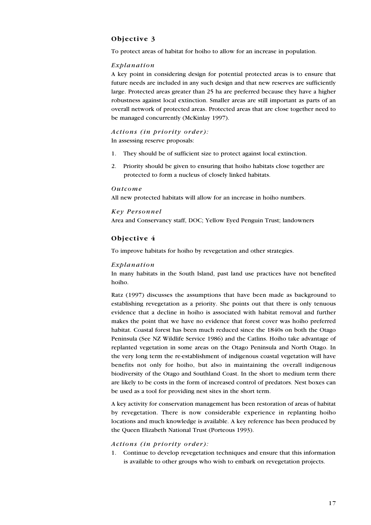#### **Objective 3**

To protect areas of habitat for hoiho to allow for an increase in population.

#### *Explanation*

A key point in considering design for potential protected areas is to ensure that future needs are included in any such design and that new reserves are sufficiently large. Protected areas greater than 25 ha are preferred because they have a higher robustness against local extinction. Smaller areas are still important as parts of an overall network of protected areas. Protected areas that are close together need to be managed concurrently (McKinlay 1997).

#### *Actions (in priority order):* In assessing reserve proposals:

- 1. They should be of sufficient size to protect against local extinction.
- 2. Priority should be given to ensuring that hoiho habitats close together are protected to form a nucleus of closely linked habitats.

#### *Outcome*

All new protected habitats will allow for an increase in hoiho numbers.

#### *Key Personnel*

Area and Conservancy staff, DOC; Yellow Eyed Penguin Trust; landowners

#### **Objective 4**

To improve habitats for hoiho by revegetation and other strategies.

#### *Explanation*

In many habitats in the South Island, past land use practices have not benefited hoiho.

Ratz (1997) discusses the assumptions that have been made as background to establishing revegetation as a priority. She points out that there is only tenuous evidence that a decline in hoiho is associated with habitat removal and further makes the point that we have no evidence that forest cover was hoiho preferred habitat. Coastal forest has been much reduced since the 1840s on both the Otago Peninsula (See NZ Wildlife Service 1986) and the Catlins. Hoiho take advantage of replanted vegetation in some areas on the Otago Peninsula and North Otago. In the very long term the re-establishment of indigenous coastal vegetation will have benefits not only for hoiho, but also in maintaining the overall indigenous biodiversity of the Otago and Southland Coast. In the short to medium term there are likely to be costs in the form of increased control of predators. Nest boxes can be used as a tool for providing nest sites in the short term.

A key activity for conservation management has been restoration of areas of habitat by revegetation. There is now considerable experience in replanting hoiho locations and much knowledge is available. A key reference has been produced by the Queen Elizabeth National Trust (Porteous 1993).

#### *Actions (in priority order):*

1. Continue to develop revegetation techniques and ensure that this information is available to other groups who wish to embark on revegetation projects.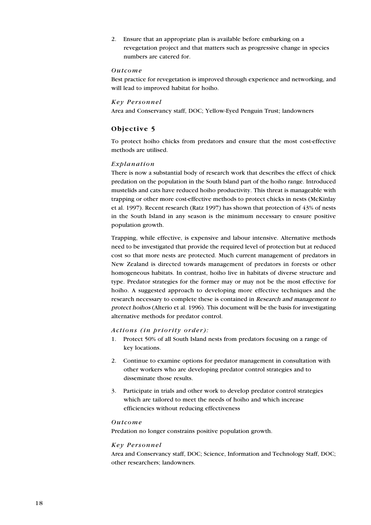2. Ensure that an appropriate plan is available before embarking on a revegetation project and that matters such as progressive change in species numbers are catered for.

#### *Outcome*

Best practice for revegetation is improved through experience and networking, and will lead to improved habitat for hoiho.

#### *Key Personnel*

Area and Conservancy staff, DOC; Yellow-Eyed Penguin Trust; landowners

#### **Objective 5**

To protect hoiho chicks from predators and ensure that the most cost-effective methods are utilised.

#### *Explanation*

There is now a substantial body of research work that describes the effect of chick predation on the population in the South Island part of the hoiho range. Introduced mustelids and cats have reduced hoiho productivity. This threat is manageable with trapping or other more cost-effective methods to protect chicks in nests (McKinlay et al. 1997). Recent research (Ratz 1997) has shown that protection of 43% of nests in the South Island in any season is the minimum necessary to ensure positive population growth.

Trapping, while effective, is expensive and labour intensive. Alternative methods need to be investigated that provide the required level of protection but at reduced cost so that more nests are protected. Much current management of predators in New Zealand is directed towards management of predators in forests or other homogeneous habitats. In contrast, hoiho live in habitats of diverse structure and type. Predator strategies for the former may or may not be the most effective for hoiho. A suggested approach to developing more effective techniques and the research necessary to complete these is contained in Research and management to protect hoihos (Alterio et al. 1996). This document will be the basis for investigating alternative methods for predator control.

#### *Actions (in priority order):*

- 1. Protect 50% of all South Island nests from predators focusing on a range of key locations.
- 2. Continue to examine options for predator management in consultation with other workers who are developing predator control strategies and to disseminate those results.
- 3. Participate in trials and other work to develop predator control strategies which are tailored to meet the needs of hoiho and which increase efficiencies without reducing effectiveness

#### *Outcome*

Predation no longer constrains positive population growth.

#### *Key Personnel*

Area and Conservancy staff, DOC; Science, Information and Technology Staff, DOC; other researchers; landowners.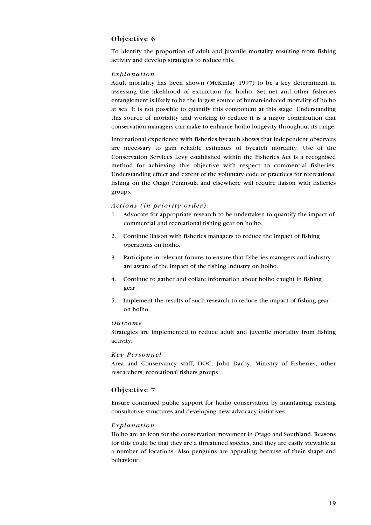#### **Objective 6**

To identify the proportion of adult and juvenile mortality resulting from fishing activity and develop strategies to reduce this.

#### *Explanation*

Adult mortality has been shown (McKinlay 1997) to be a key determinant in assessing the likelihood of extinction for hoiho. Set net and other fisheries entanglement is likely to be the largest source of human-induced mortality of hoiho at sea. It is not possible to quantify this component at this stage. Understanding this source of mortality and working to reduce it is a major contribution that conservation managers can make to enhance hoiho longevity throughout its range.

International experience with fisheries bycatch shows that independent observers are necessary to gain reliable estimates of bycatch mortality. Use of the Conservation Services Levy established within the Fisheries Act is a recognised method for achieving this objective with respect to commercial fisheries. Understanding effect and extent of the voluntary code of practices for recreational fishing on the Otago Peninsula and elsewhere will require liaison with fisheries groups.

#### *Actions (in priority order):*

- 1. Advocate for appropriate research to be undertaken to quantify the impact of commercial and recreational fishing gear on hoiho.
- 2. Continue liaison with fisheries managers to reduce the impact of fishing operations on hoiho.
- 3. Participate in relevant forums to ensure that fisheries managers and industry are aware of the impact of the fishing industry on hoiho.
- 4. Continue to gather and collate information about hoiho caught in fishing gear.
- 5. Implement the results of such research to reduce the impact of fishing gear on hoiho.

#### *Outcome*

Strategies are implemented to reduce adult and juvenile mortality from fishing activity.

#### *Key Personnel*

Area and Conservancy staff, DOC; John Darby, Ministry of Fisheries, other researchers; recreational fishers groups.

#### **Objective 7**

Ensure continued public support for hoiho conservation by maintaining existing consultative structures and developing new advocacy initiatives.

#### *Explanation*

Hoiho are an icon for the conservation movement in Otago and Southland. Reasons for this could be that they are a threatened species, and they are easily viewable at a number of locations. Also penguins are appealing because of their shape and behaviour.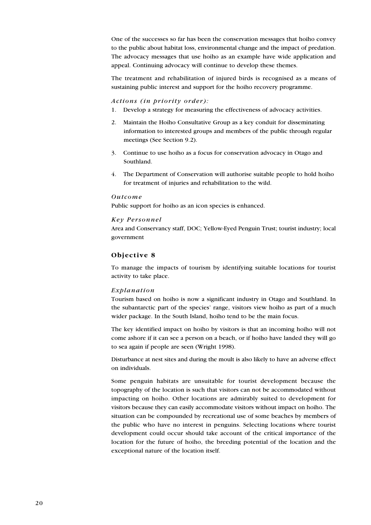One of the successes so far has been the conservation messages that hoiho convey to the public about habitat loss, environmental change and the impact of predation. The advocacy messages that use hoiho as an example have wide application and appeal. Continuing advocacy will continue to develop these themes.

The treatment and rehabilitation of injured birds is recognised as a means of sustaining public interest and support for the hoiho recovery programme.

#### *Actions (in priority order):*

- 1. Develop a strategy for measuring the effectiveness of advocacy activities.
- 2. Maintain the Hoiho Consultative Group as a key conduit for disseminating information to interested groups and members of the public through regular meetings (See Section 9.2).
- 3. Continue to use hoiho as a focus for conservation advocacy in Otago and Southland.
- 4. The Department of Conservation will authorise suitable people to hold hoiho for treatment of injuries and rehabilitation to the wild.

#### *Outcome*

Public support for hoiho as an icon species is enhanced.

#### *Key Personnel*

Area and Conservancy staff, DOC; Yellow-Eyed Penguin Trust; tourist industry; local government

#### **Objective 8**

To manage the impacts of tourism by identifying suitable locations for tourist activity to take place.

#### *Explanation*

Tourism based on hoiho is now a significant industry in Otago and Southland. In the subantarctic part of the species' range, visitors view hoiho as part of a much wider package. In the South Island, hoiho tend to be the main focus.

The key identified impact on hoiho by visitors is that an incoming hoiho will not come ashore if it can see a person on a beach, or if hoiho have landed they will go to sea again if people are seen (Wright 1998).

Disturbance at nest sites and during the moult is also likely to have an adverse effect on individuals.

Some penguin habitats are unsuitable for tourist development because the topography of the location is such that visitors can not be accommodated without impacting on hoiho. Other locations are admirably suited to development for visitors because they can easily accommodate visitors without impact on hoiho. The situation can be compounded by recreational use of some beaches by members of the public who have no interest in penguins. Selecting locations where tourist development could occur should take account of the critical importance of the location for the future of hoiho, the breeding potential of the location and the exceptional nature of the location itself.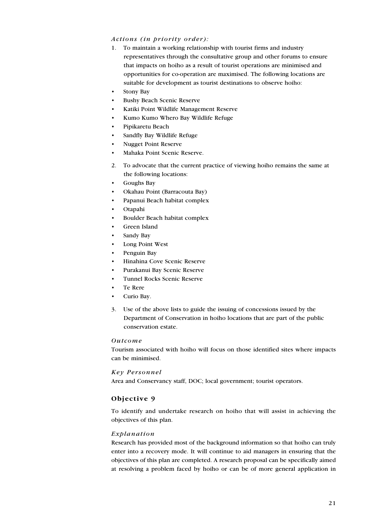#### *Actions (in priority order):*

- 1. To maintain a working relationship with tourist firms and industry representatives through the consultative group and other forums to ensure that impacts on hoiho as a result of tourist operations are minimised and opportunities for co-operation are maximised. The following locations are suitable for development as tourist destinations to observe hoiho:
- Stony Bay
- Bushy Beach Scenic Reserve
- Katiki Point Wildlife Management Reserve
- Kumo Kumo Whero Bay Wildlife Refuge
- Pipikaretu Beach
- Sandfly Bay Wildlife Refuge
- Nugget Point Reserve
- Mahaka Point Scenic Reserve.
- 2. To advocate that the current practice of viewing hoiho remains the same at the following locations:
- Goughs Bay
- Okahau Point (Barracouta Bay)
- Papanui Beach habitat complex
- Otapahi
- Boulder Beach habitat complex
- Green Island
- Sandy Bay
- Long Point West
- Penguin Bay
- Hinahina Cove Scenic Reserve
- Purakanui Bay Scenic Reserve
- Tunnel Rocks Scenic Reserve
- Te Rere
- Curio Bay.
- 3. Use of the above lists to guide the issuing of concessions issued by the Department of Conservation in hoiho locations that are part of the public conservation estate.

#### *Outcome*

Tourism associated with hoiho will focus on those identified sites where impacts can be minimised.

#### *Key Personnel*

Area and Conservancy staff, DOC; local government; tourist operators.

#### **Objective 9**

To identify and undertake research on hoiho that will assist in achieving the objectives of this plan.

#### *Explanation*

Research has provided most of the background information so that hoiho can truly enter into a recovery mode. It will continue to aid managers in ensuring that the objectives of this plan are completed. A research proposal can be specifically aimed at resolving a problem faced by hoiho or can be of more general application in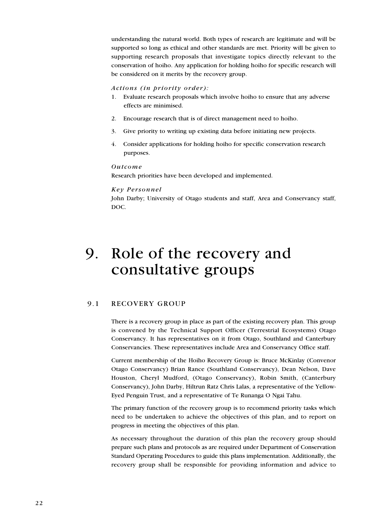understanding the natural world. Both types of research are legitimate and will be supported so long as ethical and other standards are met. Priority will be given to supporting research proposals that investigate topics directly relevant to the conservation of hoiho. Any application for holding hoiho for specific research will be considered on it merits by the recovery group.

#### *Actions (in priority order):*

- 1. Evaluate research proposals which involve hoiho to ensure that any adverse effects are minimised.
- 2. Encourage research that is of direct management need to hoiho.
- 3. Give priority to writing up existing data before initiating new projects.
- 4. Consider applications for holding hoiho for specific conservation research purposes.

#### *Outcome*

Research priorities have been developed and implemented.

#### *Key Personnel*

John Darby; University of Otago students and staff, Area and Conservancy staff, DOC.

## 9. Role of the recovery and consultative groups

#### 9.1 RECOVERY GROUP

There is a recovery group in place as part of the existing recovery plan. This group is convened by the Technical Support Officer (Terrestrial Ecosystems) Otago Conservancy. It has representatives on it from Otago, Southland and Canterbury Conservancies. These representatives include Area and Conservancy Office staff.

Current membership of the Hoiho Recovery Group is: Bruce McKinlay (Convenor Otago Conservancy) Brian Rance (Southland Conservancy), Dean Nelson, Dave Houston, Cheryl Mudford, (Otago Conservancy), Robin Smith, (Canterbury Conservancy), John Darby, Hiltrun Ratz Chris Lalas, a representative of the Yellow-Eyed Penguin Trust, and a representative of Te Runanga O Ngai Tahu.

The primary function of the recovery group is to recommend priority tasks which need to be undertaken to achieve the objectives of this plan, and to report on progress in meeting the objectives of this plan.

As necessary throughout the duration of this plan the recovery group should prepare such plans and protocols as are required under Department of Conservation Standard Operating Procedures to guide this plans implementation. Additionally, the recovery group shall be responsible for providing information and advice to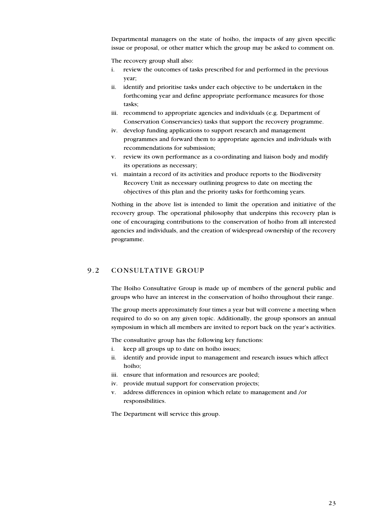Departmental managers on the state of hoiho, the impacts of any given specific issue or proposal, or other matter which the group may be asked to comment on.

The recovery group shall also:

- i. review the outcomes of tasks prescribed for and performed in the previous year;
- ii. identify and prioritise tasks under each objective to be undertaken in the forthcoming year and define appropriate performance measures for those tasks;
- iii. recommend to appropriate agencies and individuals (e.g. Department of Conservation Conservancies) tasks that support the recovery programme.
- iv. develop funding applications to support research and management programmes and forward them to appropriate agencies and individuals with recommendations for submission;
- v. review its own performance as a co-ordinating and liaison body and modify its operations as necessary;
- vi. maintain a record of its activities and produce reports to the Biodiversity Recovery Unit as necessary outlining progress to date on meeting the objectives of this plan and the priority tasks for forthcoming years.

Nothing in the above list is intended to limit the operation and initiative of the recovery group. The operational philosophy that underpins this recovery plan is one of encouraging contributions to the conservation of hoiho from all interested agencies and individuals, and the creation of widespread ownership of the recovery programme.

#### 9.2 CONSULTATIVE GROUP

The Hoiho Consultative Group is made up of members of the general public and groups who have an interest in the conservation of hoiho throughout their range.

The group meets approximately four times a year but will convene a meeting when required to do so on any given topic. Additionally, the group sponsors an annual symposium in which all members are invited to report back on the year's activities.

The consultative group has the following key functions:

- i. keep all groups up to date on hoiho issues;
- ii. identify and provide input to management and research issues which affect hoiho;
- iii. ensure that information and resources are pooled;
- iv. provide mutual support for conservation projects;
- v. address differences in opinion which relate to management and /or responsibilities.

The Department will service this group.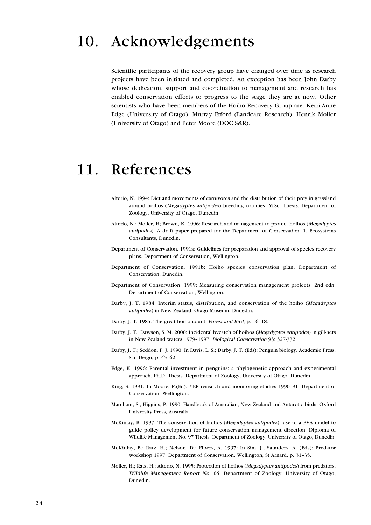## 10. Acknowledgements

Scientific participants of the recovery group have changed over time as research projects have been initiated and completed. An exception has been John Darby whose dedication, support and co-ordination to management and research has enabled conservation efforts to progress to the stage they are at now. Other scientists who have been members of the Hoiho Recovery Group are: Kerri-Anne Edge (University of Otago), Murray Efford (Landcare Research), Henrik Moller (University of Otago) and Peter Moore (DOC S&R).

### 11. References

- Alterio, N. 1994: Diet and movements of carnivores and the distribution of their prey in grassland around hoihos (Megadyptes antipodes) breeding colonies. M.Sc. Thesis. Department of Zoology, University of Otago, Dunedin.
- Alterio, N.; Moller, H; Brown, K. 1996: Research and management to protect hoihos (Megadyptes antipodes). A draft paper prepared for the Department of Conservation. 1. Ecosystems Consultants, Dunedin.
- Department of Conservation. 1991a: Guidelines for preparation and approval of species recovery plans. Department of Conservation, Wellington.
- Department of Conservation. 1991b: Hoiho species conservation plan. Department of Conservation, Dunedin.
- Department of Conservation. 1999: Measuring conservation management projects. 2nd edn. Department of Conservation, Wellington.
- Darby, J. T. 1984: Interim status, distribution, and conservation of the hoiho (Megadyptes antipodes) in New Zealand. Otago Museum, Dunedin.
- Darby, J. T. 1985: The great hoiho count. Forest and Bird, p. 16–18.
- Darby, J. T.; Dawson, S. M. 2000: Incidental bycatch of hoihos (Megadyptes antipodes) in gill-nets in New Zealand waters 1979–1997. Biological Conservation 93: 327-332.
- Darby, J. T.; Seddon, P. J. 1990: In Davis, L. S.; Darby, J. T. (Eds): Penguin biology. Academic Press, San Deigo, p. 45–62.
- Edge, K. 1996: Parental investment in penguins: a phylogenetic approach and experimental approach. Ph.D. Thesis. Department of Zoology, University of Otago, Dunedin.
- King, S. 1991: In Moore, P.(Ed): YEP research and monitoring studies 1990–91. Department of Conservation, Wellington.
- Marchant, S.; Higgins, P. 1990: Handbook of Australian, New Zealand and Antarctic birds. Oxford University Press, Australia.
- McKinlay, B. 1997: The conservation of hoihos (Megadyptes antipodes): use of a PVA model to guide policy development for future conservation management direction. Diploma of Wildlife Management No. 97 Thesis. Department of Zoology, University of Otago, Dunedin.
- McKinlay, B.; Ratz, H.; Nelson, D.; Elbers, A. 1997: In Sim, J.; Saunders, A. (Eds): Predator workshop 1997. Department of Conservation, Wellington, St Arnard, p. 31–35.
- Moller, H.; Ratz, H.; Alterio, N. 1995: Protection of hoihos (Megadyptes antipodes) from predators. Wildlife Management Report No. 65. Department of Zoology, University of Otago, Dunedin.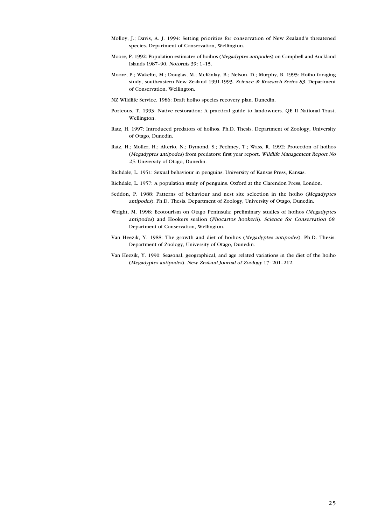- Molloy, J.; Davis, A. J. 1994: Setting priorities for conservation of New Zealand's threatened species. Department of Conservation, Wellington.
- Moore, P. 1992: Population estimates of hoihos (Megadyptes antipodes) on Campbell and Auckland Islands 1987–90. Notornis 39: 1–15. :
- Moore, P.; Wakelin, M.; Douglas, M.; McKinlay, B.; Nelson, D.; Murphy, B. 1995: Hoiho foraging study, southeastern New Zealand 1991-1993. Science & Research Series 83. Department of Conservation, Wellington.
- NZ Wildlife Service. 1986: Draft hoiho species recovery plan. Dunedin.
- Porteous, T. 1993: Native restoration: A practical guide to landowners. QE II National Trust, Wellington.
- Ratz, H. 1997: Introduced predators of hoihos. Ph.D. Thesis. Department of Zoology, University of Otago, Dunedin.
- Ratz, H.; Moller, H.; Alterio, N.; Dymond, S.; Fechney, T.; Wass, R. 1992: Protection of hoihos (Megadyptes antipodes) from predators: first year report. Wildlife Management Report No 25. University of Otago, Dunedin.
- Richdale, L. 1951: Sexual behaviour in penguins. University of Kansas Press, Kansas.
- Richdale, L. 1957: A population study of penguins. Oxford at the Clarendon Press, London.
- Seddon, P. 1988: Patterns of behaviour and nest site selection in the hoiho (Megadyptes antipodes). Ph.D. Thesis. Department of Zoology, University of Otago, Dunedin.
- Wright, M. 1998: Ecotourism on Otago Peninsula: preliminary studies of hoihos (Megadyptes antipodes) and Hookers sealion (Phocartos hookerii). Science for Conservation 68. Department of Conservation, Wellington.
- Van Heezik, Y. 1988: The growth and diet of hoihos (Megadyptes antipodes). Ph.D. Thesis. Department of Zoology, University of Otago, Dunedin.
- Van Heezik, Y. 1990: Seasonal, geographical, and age related variations in the diet of the hoiho (Megadyptes antipodes). New Zealand Journal of Zoology 17: 201–212.